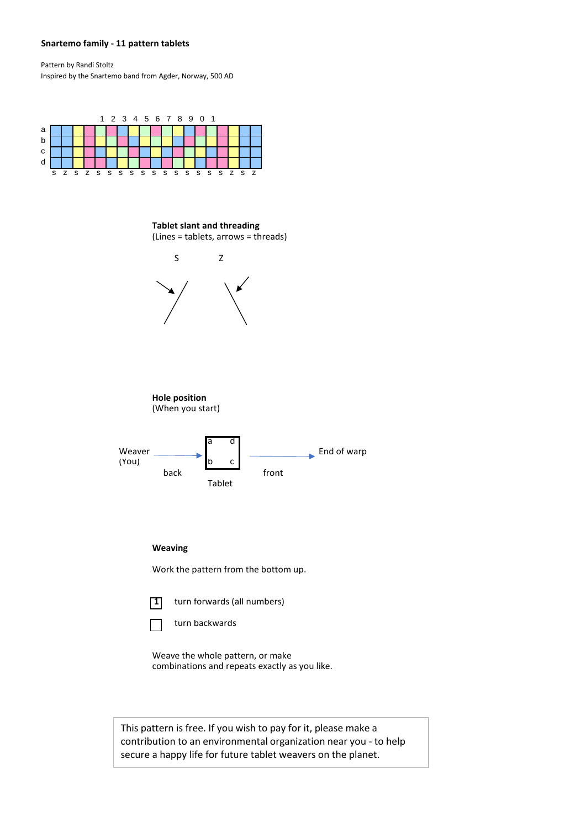## **Snartemo family - 11 pattern tablets**

Pattern by Randi Stoltz Inspired by the Snartemo band from Agder, Norway, 500 AD



**Tablet slant and threading** (Lines = tablets, arrows = threads)



## **Weaving**

Work the pattern from the bottom up.



**1** turn forwards (all numbers)



Weave the whole pattern, or make combinations and repeats exactly as you like.

This pattern is free. If you wish to pay for it, please make a contribution to an environmental organization near you - to help secure a happy life for future tablet weavers on the planet.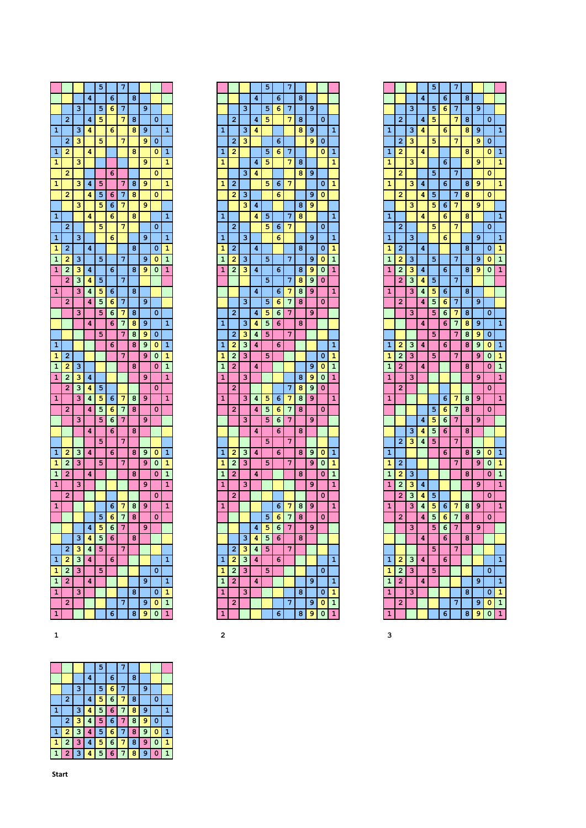| 7<br>5                             |   |   |   |                |
|------------------------------------|---|---|---|----------------|
| 4<br>6                             | 8 |   |   |                |
| 3<br>5<br>6<br>7                   |   | 9 |   |                |
| $\overline{2}$<br>5<br>7<br>4      | 8 |   | 0 |                |
| $\mathbf{1}$<br>3<br>6<br>4        | 8 | 9 |   | $\mathbf{1}$   |
| 7<br>2<br>3<br>5                   |   | 9 | 0 |                |
| 2<br>4<br>1                        | 8 |   | 0 | 1              |
| 3<br>1                             |   | 9 |   | 1              |
| 2<br>6                             |   |   | 0 |                |
| 3<br>1<br>4<br>5<br>7              | 8 | 9 |   | 1              |
| 2<br>5<br>6<br>7<br>4              | 8 |   | 0 |                |
| 3<br>7<br>5<br>6                   |   | 9 |   |                |
| 1<br>4<br>6                        | 8 |   |   | 1              |
| 5<br>7<br>2                        |   |   | 0 |                |
| 1<br>3<br>6                        |   | 9 |   | $\mathbf{1}$   |
| 1<br>2<br>4                        | 8 |   | 0 | 1              |
| 3<br>5<br>1<br>2<br>7              |   | 9 | 0 | 1              |
| 2<br>4<br>6<br>1<br>з              | 8 | 9 | 0 | 1              |
| 3<br>$\overline{2}$<br>5<br>7<br>4 |   |   |   |                |
| 3<br>1<br>4<br>5<br>6              | 8 |   |   |                |
| $\overline{a}$<br>5<br>7<br>4<br>6 |   | 9 |   |                |
| 3<br>5<br>6<br>7                   | 8 |   | 0 |                |
| 7<br>4<br>6                        | 8 | 9 |   | 1              |
| 5<br>7                             | 8 | 9 | 0 |                |
| 1<br>6                             | 8 | 9 | 0 | 1              |
| 7<br>1<br>2                        |   | 9 | 0 | 1              |
| 3<br>1<br>2                        | 8 |   | 0 | 1              |
| 1<br>$\overline{2}$<br>3<br>4      |   | 9 |   | 1              |
| 2<br>3<br>4<br>5                   |   |   | 0 |                |
| 3<br>1<br>4<br>5<br>6<br>7         | 8 | 9 |   | 1              |
| 2<br>4<br>5<br>6<br>7              | 8 |   | 0 |                |
| 3<br>5<br>6<br>7                   |   | 9 |   |                |
| 4<br>6                             | 8 |   |   |                |
| 7<br>5                             |   |   |   |                |
| $\overline{a}$<br>1<br>з<br>4<br>6 | 8 | 9 | 0 | 1              |
| 3<br>5<br>2<br>1<br>7              |   | 9 | 0 | 1              |
| 1<br>2<br>4                        | 8 |   | 0 | 1              |
| 1<br>3                             |   | 9 |   | 1              |
| $\overline{2}$                     |   |   | 0 |                |
| $\overline{1}$<br>6<br>7           | 8 | 9 |   | $\overline{1}$ |
| 7<br>5<br>6                        | 8 |   | 0 |                |
| 4<br>5<br>6<br>7                   |   | 9 |   |                |
| 3<br>4<br>5<br>6                   | 8 |   |   |                |
| $\overline{a}$<br>3<br>4<br>7<br>5 |   |   |   |                |
| 3<br>1<br>2<br>4<br>6              |   |   |   | 1              |
| 1<br>2<br>3<br>5                   |   |   | 0 |                |
|                                    |   |   |   | 1              |
| 1<br>2<br>4                        |   | 9 |   |                |
| 3<br>1                             | 8 |   | 0 | 1              |
| 2<br>7                             |   | 9 | 0 | $\mathbf{1}$   |

|                   |                |   |   | 5      |   | 7 |   |   |   |                   |
|-------------------|----------------|---|---|--------|---|---|---|---|---|-------------------|
|                   |                |   | 4 |        | 6 |   | 8 |   |   |                   |
|                   |                | з |   | 5      | 6 | 7 |   | 9 |   |                   |
|                   | 2              |   | 4 | 5      |   | 7 | 8 |   | 0 |                   |
| 1                 |                | 3 | 4 |        |   |   | 8 | 9 |   | 1                 |
|                   | 2              | 3 |   |        | 6 |   |   | 9 | 0 |                   |
| 1                 | 2              |   |   | 5      | 6 | 7 |   |   | 0 | 1                 |
| 1                 |                |   | 4 | 5      |   | 7 | 8 |   |   | 1                 |
|                   |                | 3 | 4 |        |   |   | 8 | 9 |   |                   |
| 1                 | 2              |   |   | 5      | 6 | 7 |   |   | 0 | 1                 |
|                   | 2              | з |   |        | 6 |   |   | 9 | 0 |                   |
|                   |                | з | 4 |        |   |   | 8 | 9 |   |                   |
| 1                 |                |   | 4 | 5      |   | 7 | 8 |   |   | 1                 |
|                   | 2              |   |   | 5      | 6 | 7 |   |   | 0 |                   |
| 1                 |                | 3 |   |        | 6 |   |   | 9 |   | 1                 |
| 1                 | 2              |   | 4 |        |   |   | 8 |   | 0 | 1                 |
| 1                 | 2              | 3 |   | 5      |   | 7 |   | 9 | 0 | 1                 |
| 1                 | $\overline{2}$ | 3 | 4 |        | 6 |   | 8 | 9 | 0 | 1                 |
|                   |                |   |   | 5      |   | 7 | 8 | 9 | 0 |                   |
|                   |                |   | 4 |        | 6 | 7 | 8 | 9 |   | 1                 |
|                   |                | 3 |   | 5      |   | 7 | 8 |   | 0 |                   |
|                   | $\overline{2}$ |   |   |        | 6 |   |   | 9 |   |                   |
|                   |                | 3 | 4 | 5<br>5 | 6 | 7 |   |   |   |                   |
| 1                 |                |   | 4 |        | 6 |   | 8 |   |   |                   |
|                   | $\overline{2}$ | 3 | 4 | 5      |   | 7 |   |   |   |                   |
| 1                 | 2              | з | 4 |        | 6 |   |   |   |   | 1                 |
| 1<br>$\mathbf{1}$ | 2              | з |   | 5      |   |   |   |   | 0 | 1<br>$\mathbf{1}$ |
|                   | 2              |   | 4 |        |   |   |   | 9 | 0 |                   |
| 1                 |                | 3 |   |        |   |   | 8 | 9 | 0 | 1                 |
|                   | $\overline{a}$ |   |   |        |   | 7 | 8 | 9 | 0 |                   |
| $\mathbf{1}$      |                | 3 | 4 | 5      | 6 | 7 | 8 | 9 |   | $\mathbf{1}$      |
|                   | 2              |   | 4 | 5      | 6 | 7 | 8 |   | 0 |                   |
|                   |                | 3 |   | 5      | 6 | 7 |   | 9 |   |                   |
|                   |                |   | 4 |        | 6 |   | 8 |   |   |                   |
|                   |                |   |   | 5      |   | 7 |   |   |   |                   |
| 1                 | 2              | 3 | 4 |        | 6 |   | 8 | 9 | 0 | 1                 |
| 1                 | 2              | 3 |   | 5      |   | 7 |   | 9 | 0 | 1                 |
| $\mathbf{1}$      | 2              |   | 4 |        |   |   | 8 |   | 0 | 1                 |
| 1                 |                | з |   |        |   |   |   | 9 |   | 1                 |
|                   | 2              |   |   |        |   |   |   |   | 0 |                   |
| 1                 |                |   |   |        | 6 | 7 | 8 | 9 |   | 1                 |
|                   |                |   |   | 5      | 6 | 7 | 8 |   | 0 |                   |
|                   |                |   | 4 | 5      | 6 | 7 |   | 9 |   |                   |
|                   |                | 3 | 4 | 5      | 6 |   | 8 |   |   |                   |
|                   | 2              | з | 4 | 5      |   | 7 |   |   |   |                   |
| 1                 | 2              | 3 | 4 |        | 6 |   |   |   |   | 1                 |
| 1                 | 2              | з |   | 5      |   |   |   |   | 0 |                   |
| 1                 | 2              |   | 4 |        |   |   |   | 9 |   | 1                 |
| 1                 |                | 3 |   |        |   |   | 8 |   | 0 | 1                 |
|                   | 2              |   |   |        |   | 7 |   | 9 | 0 | 1                 |
| 1                 |                |   |   |        | 6 |   | 8 | 9 | 0 | 1                 |

|                |                |                         |   | 5 |   | 7 |   |   |   |                |
|----------------|----------------|-------------------------|---|---|---|---|---|---|---|----------------|
|                |                |                         | 4 |   | 6 |   | 8 |   |   |                |
|                |                | 3                       |   | 5 | 6 | 7 |   | 9 |   |                |
|                | $\overline{2}$ |                         | 4 | 5 |   | 7 | 8 |   | 0 |                |
| $\overline{1}$ |                | 3                       | 4 |   | 6 |   | 8 | 9 |   | $\overline{1}$ |
|                | 2              | 3                       |   | 5 |   | 7 |   | 9 | 0 |                |
| 1              | 2              |                         | 4 |   |   |   | 8 |   | 0 | 1              |
| 1              |                | 3                       |   |   | 6 |   |   | 9 |   | 1              |
|                | $\overline{2}$ |                         |   | 5 |   | 7 |   |   | 0 |                |
| 1              |                | $\overline{\mathbf{3}}$ | 4 |   | 6 |   | 8 | 9 |   | 1              |
|                | $\overline{a}$ |                         | 4 | 5 |   | 7 | 8 |   | 0 |                |
|                |                | 3                       |   | 5 | 6 | 7 |   | 9 |   |                |
| 1              |                |                         | 4 |   | 6 |   | 8 |   |   | 1              |
|                | $\overline{2}$ |                         |   | 5 |   | 7 |   |   | O |                |
| 1              |                | 3                       |   |   | 6 |   |   | 9 |   | 1              |
| 1              | $\overline{a}$ |                         | 4 |   |   |   | 8 |   | 0 | 1              |
| 1              | 2              | з                       |   | 5 |   | 7 |   | 9 | 0 | 1              |
| 1              | $\overline{c}$ | з                       | 4 |   | 6 |   | 8 | 9 | 0 | 1              |
|                | $\overline{c}$ | 3                       | 4 | 5 |   | 7 |   |   |   |                |
| 1              |                | 3                       | 4 | 5 | 6 |   | 8 |   |   |                |
|                | $\overline{a}$ |                         | 4 | 5 | 6 | 7 |   | 9 |   |                |
|                |                | 3                       |   | 5 | 6 | 7 | 8 |   | 0 |                |
|                |                |                         | 4 |   | 6 | 7 | 8 | 9 |   | 1              |
|                |                |                         |   | 5 |   | 7 | 8 | 9 | 0 |                |
| 1              | 2              | 3                       | 4 |   | 6 |   | 8 | 9 | 0 | 1              |
| 1              | $\overline{2}$ | 3                       |   | 5 |   | 7 |   | 9 | 0 | 1              |
| $\overline{1}$ | $\overline{a}$ |                         | 4 |   |   |   | 8 |   | 0 | 1              |
| 1              |                | 3                       |   |   |   |   |   | 9 |   | 1              |
|                | $\overline{2}$ |                         |   |   |   |   |   |   | 0 |                |
| 1              |                |                         |   |   | 6 | 7 | 8 | 9 |   | 1              |
|                |                |                         |   | 5 | 6 | 7 | 8 |   | 0 |                |
|                |                |                         | 4 | 5 | 6 | 7 |   | 9 |   |                |
|                |                | 3                       | 4 | 5 | 6 |   | 8 |   |   |                |
|                | $\overline{c}$ | 3                       | 4 | 5 |   | 7 |   |   |   |                |
| 1              |                |                         |   |   | 6 |   | 8 | 9 | 0 | 1              |
| 1              | $\overline{2}$ |                         |   |   |   | 7 |   | 9 | 0 | 1              |
| 1              | 2              | з                       |   |   |   |   | 8 |   | 0 | 1              |
| 1              | 2              | 3                       | 4 |   |   |   |   | 9 |   | 1              |
|                | $\overline{a}$ | 3                       | 4 | 5 |   |   |   |   | 0 |                |
| 1              |                | 3                       | 4 | 5 | 6 | 7 | 8 | 9 |   | 1              |
|                | 2              |                         | 4 | 5 | 6 | 7 | 8 |   | 0 |                |
|                |                | 3                       |   | 5 | 6 | 7 |   | 9 |   |                |
|                |                |                         | 4 |   | 6 |   | 8 |   |   |                |
|                |                |                         |   | 5 |   | 7 |   |   |   |                |
| 1              | 2              | з                       | 4 |   | 6 |   |   |   |   | 1              |
| 1              | $\overline{c}$ | 3                       |   | 5 |   |   |   |   | o |                |
| 1              | 2              |                         | 4 |   |   |   |   | 9 |   | $\overline{1}$ |
| 1              |                | 3                       |   |   |   |   | 8 |   | 0 | 1              |
|                | $\overline{a}$ |                         |   |   |   | 7 |   | 9 | 0 | 1              |
| 1              |                |                         |   |   | 6 |   | 8 | 9 | 0 | 1              |
|                |                |                         |   |   |   |   |   |   |   |                |
| з              |                |                         |   |   |   |   |   |   |   |                |

|              |                |              |                | 5.                      |          |              |     |                |   |  |
|--------------|----------------|--------------|----------------|-------------------------|----------|--------------|-----|----------------|---|--|
|              |                |              | 4              |                         | $6 \mid$ |              | 8   |                |   |  |
|              |                | 3            |                | 5 <sub>l</sub>          | 6        | 7            |     | 9              |   |  |
|              | $\overline{2}$ |              | 4              | $\overline{5}$          | l 6      | $\mathbf{7}$ | 8   |                | 0 |  |
| 1.           |                | $\mathbf{B}$ | 4              | $\overline{\mathbf{5}}$ | 6        | $\Gamma$     | 8   | $\overline{9}$ |   |  |
|              | 2 3            |              | 4              |                         | $567$    |              | 8   | 9              | 0 |  |
| $\mathbf{1}$ | $\mathbf{12}$  | -3           | $\overline{4}$ |                         | $567$    |              | l 8 | 9              | 0 |  |
|              | $\bullet$      | 3            | $\overline{4}$ | 5                       | $617$    |              | 8   | 9              | 0 |  |
|              |                |              | 4              | 5                       |          | 6 7          | 8   | 9.             | n |  |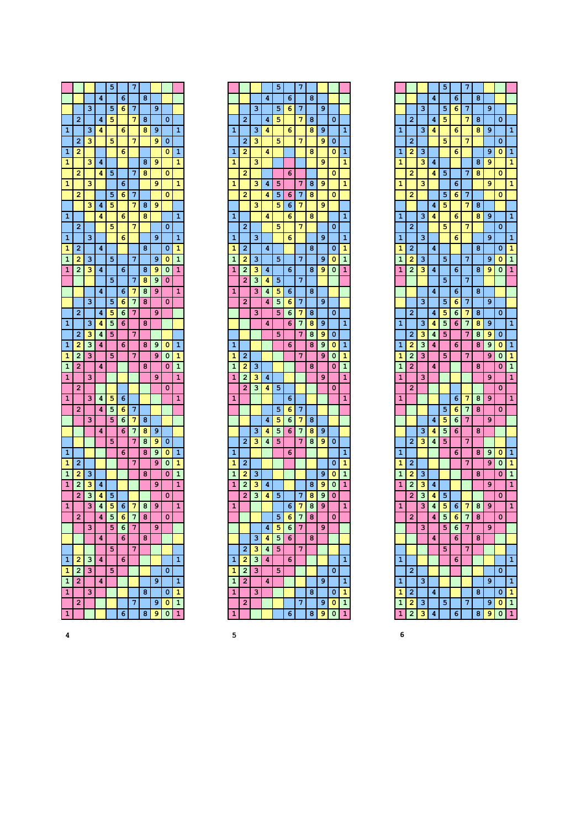|                |                |                         |   | 5 |   | 7 |   |   |   |                |
|----------------|----------------|-------------------------|---|---|---|---|---|---|---|----------------|
|                |                |                         | 4 |   | 6 |   | 8 |   |   |                |
|                |                | 3                       |   | 5 | 6 | 7 |   | 9 |   |                |
|                | $\overline{a}$ |                         | 4 | 5 |   | 7 | 8 |   | 0 |                |
| 1              |                | $\overline{\mathbf{3}}$ | 4 |   | 6 |   | 8 | 9 |   | 1              |
|                | $\overline{2}$ | 3                       |   | 5 |   | 7 |   | 9 | 0 |                |
| $\overline{1}$ | 2              |                         |   |   | 6 |   |   |   | 0 | $\mathbf{1}$   |
| 1              |                | $\overline{\mathbf{3}}$ | 4 |   |   |   | 8 | 9 |   | 1              |
|                | $\overline{2}$ |                         | 4 | 5 |   | 7 | 8 |   | 0 |                |
| 1              |                | 3                       |   |   | 6 |   |   | 9 |   | 1              |
|                | 2              |                         |   | 5 | 6 | 7 |   |   | 0 |                |
|                |                | 3                       | 4 | 5 |   | 7 | 8 | 9 |   |                |
| 1              |                |                         | 4 |   | 6 |   | 8 |   |   | 1              |
|                | $\overline{2}$ |                         |   | 5 |   | 7 |   |   | 0 |                |
| 1              |                | 3                       |   |   | 6 |   |   | 9 |   | 1              |
| 1              | $\overline{a}$ |                         | 4 |   |   |   | 8 |   | 0 | 1              |
| $\mathbf{1}$   | 2              | 3                       |   | 5 |   | 7 |   | 9 | 0 | $\overline{1}$ |
| 1              | $\overline{2}$ | 3                       | 4 |   | 6 |   | 8 | 9 | 0 | 1              |
|                |                |                         |   | 5 |   | 7 | 8 | 9 | 0 |                |
|                |                |                         | 4 |   | 6 | 7 | 8 | 9 |   | 1              |
|                |                | $\overline{\mathbf{3}}$ |   | 5 | 6 | 7 | 8 |   | 0 |                |
|                | 2              |                         | 4 | 5 | 6 | 7 |   | 9 |   |                |
| 1              |                | 3                       | 4 | 5 | 6 |   | 8 |   |   |                |
|                | $\overline{2}$ | 3                       | 4 | 5 |   | 7 |   |   |   |                |
| 1              | 2              | 3                       | 4 |   | 6 |   | 8 | 9 | 0 | 1              |
| 1              | 2              | 3                       |   | 5 |   | 7 |   | 9 | 0 | 1              |
| 1              | 2              |                         | 4 |   |   |   | 8 |   | 0 | 1              |
| 1              |                | 3                       |   |   |   |   |   | 9 |   | 1              |
|                | $\overline{2}$ |                         |   |   |   |   |   |   | 0 |                |
| 1              |                | 3                       | 4 | 5 | 6 |   |   |   |   | 1              |
|                | $\overline{2}$ |                         | 4 | 5 | 6 | 7 |   |   |   |                |
|                |                | 3                       |   | 5 | 6 | 7 | 8 |   |   |                |
|                |                |                         | 4 |   | 6 | 7 | 8 | 9 |   |                |
|                |                |                         |   | 5 |   | 7 | 8 | 9 | 0 |                |
| 1              |                |                         |   |   | 6 |   | 8 | 9 | 0 | $\mathbf{1}$   |
| 1              | 2              |                         |   |   |   | 7 |   | 9 | 0 | 1              |
| $\overline{1}$ | 2              | 3                       |   |   |   |   | 8 |   | 0 | $\mathbf{1}$   |
| 1              | $\overline{a}$ | 3                       | 4 |   |   |   |   | 9 |   | 1              |
|                | 2              | 3                       | 4 | 5 |   |   |   |   | 0 |                |
| 1              |                | 3                       | 4 | 5 | 6 | 7 | 8 | 9 |   | 1              |
|                | 2              |                         | 4 | 5 | 6 | 7 | 8 |   | 0 |                |
|                |                | 3                       |   | 5 | 6 | 7 |   | 9 |   |                |
|                |                |                         | 4 |   | 6 |   | 8 |   |   |                |
|                |                |                         |   | 5 |   | 7 |   |   |   |                |
| 1              | $\overline{c}$ | 3                       | 4 |   | 6 |   |   |   |   | 1              |
| 1              | 2              | з                       |   | 5 |   |   |   |   | 0 |                |
| $\mathbf{1}$   | 2              |                         | 4 |   |   |   |   | 9 |   | 1              |
| 1              |                | 3                       |   |   |   |   | 8 |   | 0 | 1              |
|                | 2              |                         |   |   |   | 7 |   | 9 | 0 | $\mathbf{1}$   |
| 1              |                |                         |   |   | 6 |   | 8 | 9 | 0 | 1              |

|              |                |   |   | 5 |   | 7 |   |   |   |                |
|--------------|----------------|---|---|---|---|---|---|---|---|----------------|
|              |                |   | 4 |   | 6 |   | 8 |   |   |                |
|              |                | 3 |   | 5 | 6 | 7 |   | 9 |   |                |
|              | $\overline{2}$ |   | 4 | 5 |   | 7 | 8 |   | 0 |                |
| 1            |                | з | 4 |   | 6 |   | 8 | 9 |   | 1              |
|              |                |   |   |   |   |   |   |   |   |                |
|              | 2              | 3 |   | 5 |   | 7 |   | 9 | 0 |                |
| 1            | 2              |   | 4 |   |   |   | 8 |   | 0 | 1              |
| 1            |                | 3 |   |   |   |   |   | 9 |   | 1              |
|              | 2              |   |   |   | 6 |   |   |   | 0 |                |
| 1            |                | 3 | 4 | 5 |   | 7 | 8 | 9 |   | 1              |
|              | 2              |   | 4 | 5 | 6 | 7 | 8 |   | 0 |                |
|              |                | 3 |   | 5 | 6 | 7 |   | 9 |   |                |
| 1            |                |   | 4 |   | 6 |   | 8 |   |   | $\overline{1}$ |
|              | $\overline{2}$ |   |   | 5 |   | 7 |   |   | 0 |                |
| 1            |                | 3 |   |   | 6 |   |   | 9 |   | 1              |
| 1            | $\overline{2}$ |   | 4 |   |   |   | 8 |   | 0 | 1              |
| $\mathbf{1}$ | 2              | 3 |   | 5 |   | 7 |   | 9 | 0 | $\mathbf{1}$   |
| 1            | 2              | 3 | 4 |   | 6 |   | 8 | 9 | 0 | 1              |
|              | 2              | 3 | 4 | 5 |   | 7 |   |   |   |                |
| 1            |                | 3 | 4 | 5 | 6 |   | 8 |   |   |                |
|              | $\overline{2}$ |   | 4 | 5 | 6 | 7 |   | 9 |   |                |
|              |                | 3 |   | 5 | 6 | 7 | 8 |   | 0 |                |
|              |                |   | 4 |   | 6 | 7 | 8 | 9 |   | 1              |
|              |                |   |   | 5 |   | 7 | 8 | 9 |   |                |
|              |                |   |   |   |   |   |   |   | 0 |                |
| 1            |                |   |   |   | 6 |   | 8 | 9 | 0 | 1              |
| 1            | 2              |   |   |   |   | 7 |   | 9 | 0 | 1              |
| 1            | 2              | 3 |   |   |   |   | 8 |   | 0 | 1              |
| 1            | 2              | 3 | 4 |   |   |   |   | 9 |   | 1              |
|              | 2              | 3 | 4 | 5 |   |   |   |   | 0 |                |
| 1            |                |   |   |   | 6 |   |   |   |   | 1              |
|              |                |   |   | 5 | 6 | 7 |   |   |   |                |
|              |                |   | 4 | 5 | 6 | 7 | 8 |   |   |                |
|              |                | з | 4 | 5 | 6 | 7 | 8 | 9 |   |                |
|              | $\overline{2}$ | 3 | 4 | 5 |   | 7 | 8 | 9 | 0 |                |
| 1            |                |   |   |   | 6 |   |   |   |   | 1              |
| 1            | 2              |   |   |   |   |   |   |   | 0 | 1              |
| 1            | 2              | 3 |   |   |   |   |   | 9 | 0 | 1              |
| 1            | $\overline{2}$ | 3 | 4 |   |   |   | 8 | 9 | 0 | 1              |
|              | 2              | 3 | 4 | 5 |   | 7 | 8 | 9 | 0 |                |
| 1            |                |   |   |   | 6 | 7 | 8 | 9 |   | 1              |
|              |                |   |   |   |   | 7 | 8 |   |   |                |
|              |                |   | 4 | 5 | 6 | 7 |   | 9 |   |                |
|              |                | 3 | 4 | 5 | 6 |   | 8 |   |   |                |
|              | 2              | 3 | 4 | 5 |   | 7 |   |   |   |                |
| 1            | 2              | 3 | 4 |   | 6 |   |   |   |   | 1              |
|              |                |   |   |   |   |   |   |   |   |                |
| 1            | 2              | 3 |   | 5 |   |   |   |   | 0 |                |
| 1            | 2              |   | 4 |   |   |   |   | 9 |   | 1              |
| 1            |                | 3 |   |   |   |   | 8 |   | 0 | 1              |
|              | 2              |   |   |   |   | 7 |   | 9 | 0 | $\overline{1}$ |
| 1            |                |   |   |   | 6 |   | 8 | 9 | 0 | 1              |

|                |                |                         |   | 5 |   | 7 |   |   |   |                |
|----------------|----------------|-------------------------|---|---|---|---|---|---|---|----------------|
|                |                |                         | 4 |   | 6 |   | 8 |   |   |                |
|                |                | з                       |   | 5 | 6 | 7 |   | 9 |   |                |
|                | 2              |                         | 4 | 5 |   | 7 | 8 |   | 0 |                |
| 1              |                | 3                       | 4 |   | 6 |   | 8 | 9 |   | $\overline{1}$ |
|                | $\overline{2}$ |                         |   | 5 |   | 7 |   |   | 0 |                |
| 1              | $\overline{a}$ | 3                       |   |   | 6 |   |   | 9 | 0 | 1              |
| 1              |                | 3                       | 4 |   |   |   | 8 | 9 |   | 1              |
|                | 2              |                         | 4 | 5 |   | 7 | 8 |   | 0 |                |
| 1              |                | 3                       |   |   | 6 |   |   | 9 |   | 1              |
|                | 2              |                         |   | 5 | 6 | 7 |   |   | 0 |                |
|                |                |                         | 4 | 5 |   | 7 | 8 |   |   |                |
| $\mathbf{1}$   |                | 3                       | 4 |   | 6 |   | 8 | 9 |   | $\overline{1}$ |
|                | 2              |                         |   | 5 |   | 7 |   |   | 0 |                |
|                |                | 3                       |   |   |   |   |   | 9 |   | 1              |
| 1<br>1         | 2              |                         | 4 |   | 6 |   |   |   |   | 1              |
|                |                | 3                       |   |   |   |   | 8 |   | 0 |                |
| 1              | 2              |                         |   | 5 |   | 7 |   | 9 | 0 | 1              |
| 1              | 2              | 3                       | 4 |   | 6 |   | 8 | 9 | 0 | 1              |
|                |                |                         |   | 5 |   | 7 |   |   |   |                |
|                |                |                         | 4 |   | 6 |   | 8 |   |   |                |
|                |                | 3                       |   | 5 | 6 | 7 |   | 9 |   |                |
|                | $\overline{2}$ |                         | 4 | 5 | 6 | 7 | 8 |   | 0 |                |
| $\mathbf{1}$   |                | 3                       | 4 | 5 | 6 | 7 | 8 | 9 |   | 1              |
|                | $\overline{2}$ | 3                       | 4 | 5 |   | 7 | 8 | 9 | 0 |                |
| 1              | 2              | 3                       | 4 |   | 6 |   | 8 | 9 | 0 | 1              |
| 1              | 2              | з                       |   | 5 |   | 7 |   | 9 | 0 | 1              |
| $\mathbf{1}$   | 2              |                         | 4 |   |   |   | 8 |   | 0 | $\overline{1}$ |
| 1              |                | 3                       |   |   |   |   |   | 9 |   | 1              |
|                | 2              |                         |   |   |   |   |   |   | 0 |                |
| $\mathbf{1}$   |                |                         |   |   | 6 | 7 | 8 | 9 |   | $\overline{1}$ |
|                |                |                         |   | 5 | 6 | 7 | 8 |   | 0 |                |
|                |                |                         | 4 | 5 | 6 | 7 |   | 9 |   |                |
|                |                | 3                       | 4 | 5 | 6 |   | 8 |   |   |                |
|                | $\overline{a}$ | 3                       | 4 | 5 |   | 7 |   |   |   |                |
| 1              |                |                         |   |   | 6 |   | 8 | 9 | 0 | 1              |
| 1              | $\overline{a}$ |                         |   |   |   | 7 |   | 9 | 0 | 1              |
| $\overline{1}$ | 2              | 3                       |   |   |   |   | 8 |   | 0 | $\mathbf{1}$   |
| 1              | $\overline{a}$ | 3                       | 4 |   |   |   |   | 9 |   | 1              |
|                | 2              | 3                       | 4 | 5 |   |   |   |   | 0 |                |
| 1              |                | 3                       | 4 | 5 | 6 | 7 | 8 | 9 |   | 1              |
|                | 2              |                         | 4 | 5 | 6 | 7 | 8 |   | 0 |                |
|                |                | 3                       |   | 5 | 6 | 7 |   | 9 |   |                |
|                |                |                         | 4 |   | 6 |   | 8 |   |   |                |
|                |                |                         |   | 5 |   | 7 |   |   |   |                |
| 1              |                |                         |   |   | 6 |   |   |   |   | 1              |
|                | 2              |                         |   |   |   |   |   |   | 0 |                |
| $\mathbf{1}$   |                | 3                       |   |   |   |   |   | 9 |   | 1              |
| 1              | 2              |                         | 4 |   |   |   | 8 |   | 0 | 1              |
| 1              | $\overline{c}$ | 3                       |   | 5 |   | 7 |   | 9 | 0 | $\mathbf{1}$   |
| 1              | 2              | $\overline{\mathbf{3}}$ | 4 |   | 6 |   | 8 | 9 | 0 | 1              |
|                |                |                         |   |   |   |   |   |   |   |                |